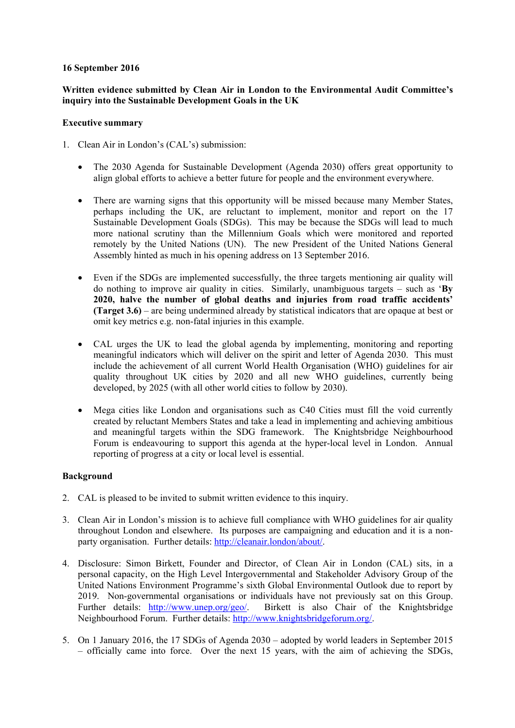## **16 September 2016**

# **Written evidence submitted by Clean Air in London to the Environmental Audit Committee's inquiry into the Sustainable Development Goals in the UK**

#### **Executive summary**

- 1. Clean Air in London's (CAL's) submission:
	- The 2030 Agenda for Sustainable Development (Agenda 2030) offers great opportunity to align global efforts to achieve a better future for people and the environment everywhere.
	- There are warning signs that this opportunity will be missed because many Member States, perhaps including the UK, are reluctant to implement, monitor and report on the 17 Sustainable Development Goals (SDGs). This may be because the SDGs will lead to much more national scrutiny than the Millennium Goals which were monitored and reported remotely by the United Nations (UN). The new President of the United Nations General Assembly hinted as much in his opening address on 13 September 2016.
	- Even if the SDGs are implemented successfully, the three targets mentioning air quality will do nothing to improve air quality in cities. Similarly, unambiguous targets – such as '**By 2020, halve the number of global deaths and injuries from road traffic accidents' (Target 3.6)** – are being undermined already by statistical indicators that are opaque at best or omit key metrics e.g. non-fatal injuries in this example.
	- CAL urges the UK to lead the global agenda by implementing, monitoring and reporting meaningful indicators which will deliver on the spirit and letter of Agenda 2030. This must include the achievement of all current World Health Organisation (WHO) guidelines for air quality throughout UK cities by 2020 and all new WHO guidelines, currently being developed, by 2025 (with all other world cities to follow by 2030).
	- Mega cities like London and organisations such as C40 Cities must fill the void currently created by reluctant Members States and take a lead in implementing and achieving ambitious and meaningful targets within the SDG framework. The Knightsbridge Neighbourhood Forum is endeavouring to support this agenda at the hyper-local level in London. Annual reporting of progress at a city or local level is essential.

## **Background**

- 2. CAL is pleased to be invited to submit written evidence to this inquiry.
- 3. Clean Air in London's mission is to achieve full compliance with WHO guidelines for air quality throughout London and elsewhere. Its purposes are campaigning and education and it is a nonparty organisation. Further details: http://cleanair.london/about/.
- 4. Disclosure: Simon Birkett, Founder and Director, of Clean Air in London (CAL) sits, in a personal capacity, on the High Level Intergovernmental and Stakeholder Advisory Group of the United Nations Environment Programme's sixth Global Environmental Outlook due to report by 2019. Non-governmental organisations or individuals have not previously sat on this Group. Further details: http://www.unep.org/geo/. Birkett is also Chair of the Knightsbridge Neighbourhood Forum. Further details: http://www.knightsbridgeforum.org/.
- 5. On 1 January 2016, the 17 SDGs of Agenda 2030 adopted by world leaders in September 2015 – officially came into force. Over the next 15 years, with the aim of achieving the SDGs,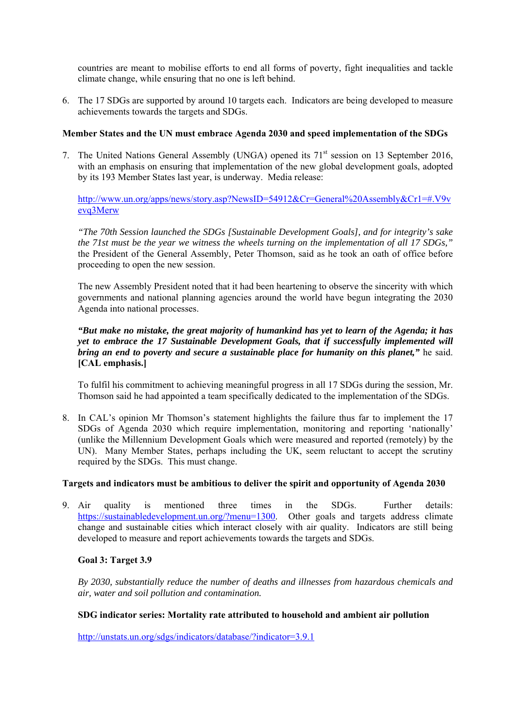countries are meant to mobilise efforts to end all forms of poverty, fight inequalities and tackle climate change, while ensuring that no one is left behind.

6. The 17 SDGs are supported by around 10 targets each. Indicators are being developed to measure achievements towards the targets and SDGs.

#### **Member States and the UN must embrace Agenda 2030 and speed implementation of the SDGs**

7. The United Nations General Assembly (UNGA) opened its 71<sup>st</sup> session on 13 September 2016, with an emphasis on ensuring that implementation of the new global development goals, adopted by its 193 Member States last year, is underway. Media release:

http://www.un.org/apps/news/story.asp?NewsID=54912&Cr=General%20Assembly&Cr1=#.V9v evq3Merw

*"The 70th Session launched the SDGs [Sustainable Development Goals], and for integrity's sake the 71st must be the year we witness the wheels turning on the implementation of all 17 SDGs,"* the President of the General Assembly, Peter Thomson, said as he took an oath of office before proceeding to open the new session.

The new Assembly President noted that it had been heartening to observe the sincerity with which governments and national planning agencies around the world have begun integrating the 2030 Agenda into national processes.

*"But make no mistake, the great majority of humankind has yet to learn of the Agenda; it has yet to embrace the 17 Sustainable Development Goals, that if successfully implemented will bring an end to poverty and secure a sustainable place for humanity on this planet,"* he said. **[CAL emphasis.]** 

To fulfil his commitment to achieving meaningful progress in all 17 SDGs during the session, Mr. Thomson said he had appointed a team specifically dedicated to the implementation of the SDGs.

8. In CAL's opinion Mr Thomson's statement highlights the failure thus far to implement the 17 SDGs of Agenda 2030 which require implementation, monitoring and reporting 'nationally' (unlike the Millennium Development Goals which were measured and reported (remotely) by the UN). Many Member States, perhaps including the UK, seem reluctant to accept the scrutiny required by the SDGs. This must change.

#### **Targets and indicators must be ambitious to deliver the spirit and opportunity of Agenda 2030**

9. Air quality is mentioned three times in the SDGs. Further details: https://sustainabledevelopment.un.org/?menu=1300. Other goals and targets address climate change and sustainable cities which interact closely with air quality. Indicators are still being developed to measure and report achievements towards the targets and SDGs.

## **Goal 3: Target 3.9**

*By 2030, substantially reduce the number of deaths and illnesses from hazardous chemicals and air, water and soil pollution and contamination.* 

## **SDG indicator series: Mortality rate attributed to household and ambient air pollution**

http://unstats.un.org/sdgs/indicators/database/?indicator=3.9.1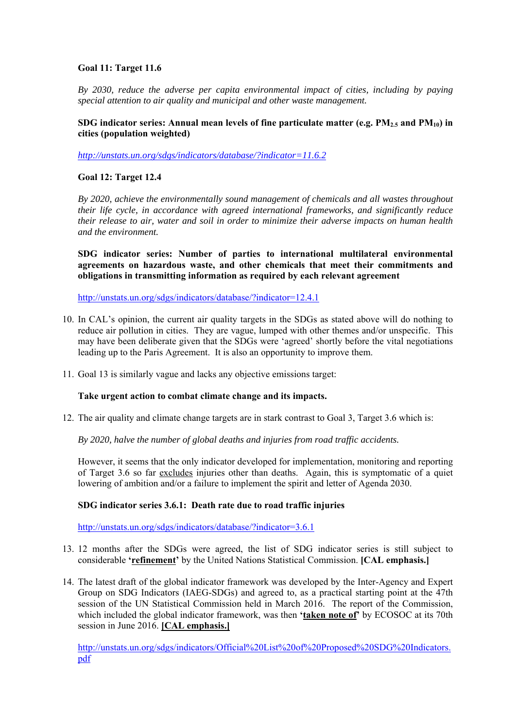# **Goal 11: Target 11.6**

*By 2030, reduce the adverse per capita environmental impact of cities, including by paying special attention to air quality and municipal and other waste management.* 

# SDG indicator series: Annual mean levels of fine particulate matter (e.g.  $PM_{2.5}$  and  $PM_{10}$ ) in **cities (population weighted)**

*http://unstats.un.org/sdgs/indicators/database/?indicator=11.6.2*

# **Goal 12: Target 12.4**

*By 2020, achieve the environmentally sound management of chemicals and all wastes throughout their life cycle, in accordance with agreed international frameworks, and significantly reduce their release to air, water and soil in order to minimize their adverse impacts on human health and the environment.* 

**SDG indicator series: Number of parties to international multilateral environmental agreements on hazardous waste, and other chemicals that meet their commitments and obligations in transmitting information as required by each relevant agreement** 

http://unstats.un.org/sdgs/indicators/database/?indicator=12.4.1

- 10. In CAL's opinion, the current air quality targets in the SDGs as stated above will do nothing to reduce air pollution in cities. They are vague, lumped with other themes and/or unspecific. This may have been deliberate given that the SDGs were 'agreed' shortly before the vital negotiations leading up to the Paris Agreement. It is also an opportunity to improve them.
- 11. Goal 13 is similarly vague and lacks any objective emissions target:

## **Take urgent action to combat climate change and its impacts.**

12. The air quality and climate change targets are in stark contrast to Goal 3, Target 3.6 which is:

*By 2020, halve the number of global deaths and injuries from road traffic accidents.* 

However, it seems that the only indicator developed for implementation, monitoring and reporting of Target 3.6 so far excludes injuries other than deaths. Again, this is symptomatic of a quiet lowering of ambition and/or a failure to implement the spirit and letter of Agenda 2030.

# **SDG indicator series 3.6.1: Death rate due to road traffic injuries**

http://unstats.un.org/sdgs/indicators/database/?indicator=3.6.1

- 13. 12 months after the SDGs were agreed, the list of SDG indicator series is still subject to considerable **'refinement'** by the United Nations Statistical Commission. **[CAL emphasis.]**
- 14. The latest draft of the global indicator framework was developed by the Inter-Agency and Expert Group on SDG Indicators (IAEG-SDGs) and agreed to, as a practical starting point at the 47th session of the UN Statistical Commission held in March 2016. The report of the Commission, which included the global indicator framework, was then **'taken note of'** by ECOSOC at its 70th session in June 2016. **[CAL emphasis.]**

http://unstats.un.org/sdgs/indicators/Official%20List%20of%20Proposed%20SDG%20Indicators. pdf